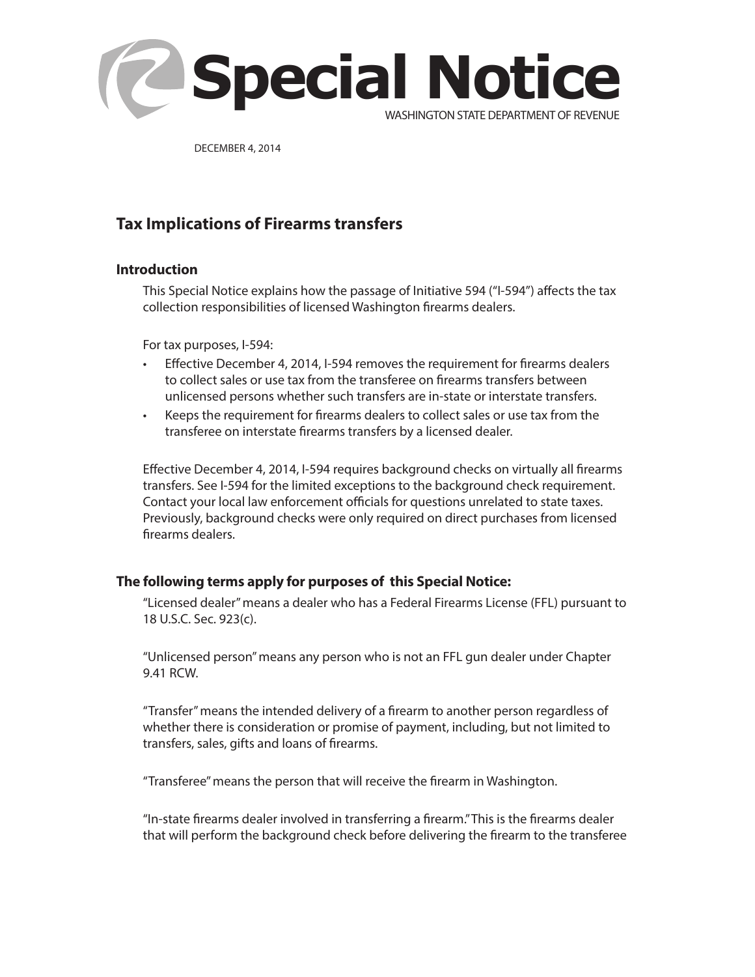

DECEMBER 4, 2014

# **Tax Implications of Firearms transfers**

#### **Introduction**

This Special Notice explains how the passage of Initiative 594 ("I-594") affects the tax collection responsibilities of licensed Washington firearms dealers.

For tax purposes, I-594:

- Effective December 4, 2014, I-594 removes the requirement for firearms dealers to collect sales or use tax from the transferee on firearms transfers between unlicensed persons whether such transfers are in-state or interstate transfers.
- Keeps the requirement for firearms dealers to collect sales or use tax from the transferee on interstate firearms transfers by a licensed dealer.

Effective December 4, 2014, I-594 requires background checks on virtually all firearms transfers. See I-594 for the limited exceptions to the background check requirement. Contact your local law enforcement officials for questions unrelated to state taxes. Previously, background checks were only required on direct purchases from licensed firearms dealers.

### **The following terms apply for purposes of this Special Notice:**

"Licensed dealer" means a dealer who has a Federal Firearms License (FFL) pursuant to 18 U.S.C. Sec. 923(c).

"Unlicensed person" means any person who is not an FFL gun dealer under Chapter 9.41 RCW.

"Transfer" means the intended delivery of a firearm to another person regardless of whether there is consideration or promise of payment, including, but not limited to transfers, sales, gifts and loans of firearms.

"Transferee" means the person that will receive the firearm in Washington.

"In-state firearms dealer involved in transferring a firearm." This is the firearms dealer that will perform the background check before delivering the firearm to the transferee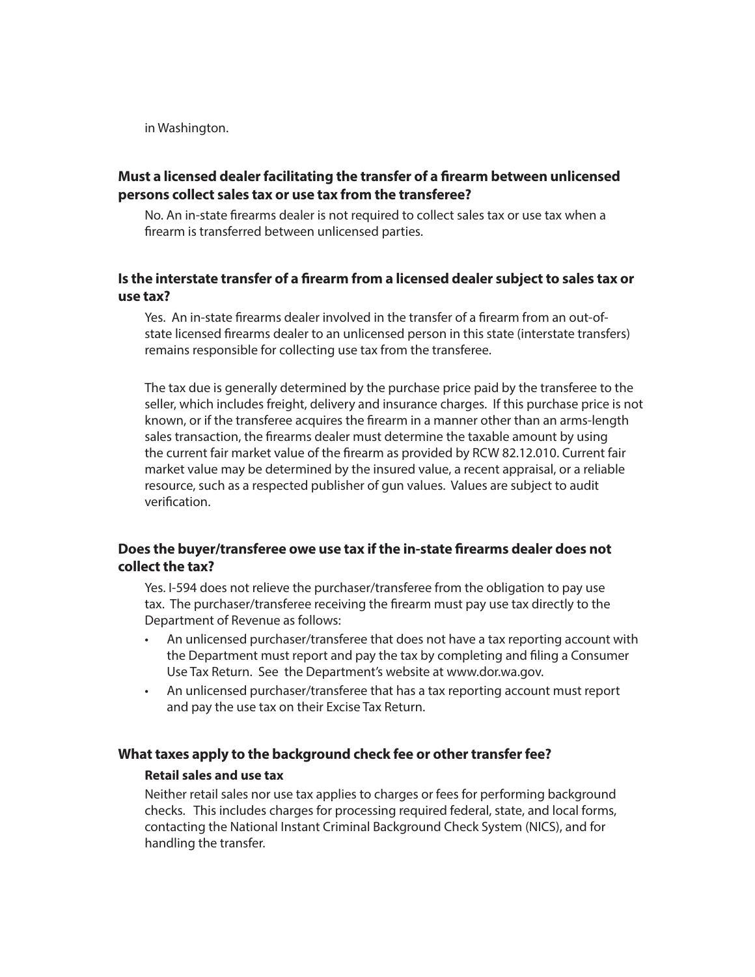in Washington.

## **Must a licensed dealer facilitating the transfer of a firearm between unlicensed persons collect sales tax or use tax from the transferee?**

No. An in-state firearms dealer is not required to collect sales tax or use tax when a firearm is transferred between unlicensed parties.

## **Is the interstate transfer of a firearm from a licensed dealer subject to sales tax or use tax?**

Yes. An in-state firearms dealer involved in the transfer of a firearm from an out-ofstate licensed firearms dealer to an unlicensed person in this state (interstate transfers) remains responsible for collecting use tax from the transferee.

The tax due is generally determined by the purchase price paid by the transferee to the seller, which includes freight, delivery and insurance charges. If this purchase price is not known, or if the transferee acquires the firearm in a manner other than an arms-length sales transaction, the firearms dealer must determine the taxable amount by using the current fair market value of the firearm as provided by RCW 82.12.010. Current fair market value may be determined by the insured value, a recent appraisal, or a reliable resource, such as a respected publisher of gun values. Values are subject to audit verification.

## **Does the buyer/transferee owe use tax if the in-state firearms dealer does not collect the tax?**

Yes. I-594 does not relieve the purchaser/transferee from the obligation to pay use tax. The purchaser/transferee receiving the firearm must pay use tax directly to the Department of Revenue as follows:

- An unlicensed purchaser/transferee that does not have a tax reporting account with the Department must report and pay the tax by completing and filing a Consumer Use Tax Return. See the Department's website at www.dor.wa.gov.
- An unlicensed purchaser/transferee that has a tax reporting account must report and pay the use tax on their Excise Tax Return.

#### **What taxes apply to the background check fee or other transfer fee?**

#### **Retail sales and use tax**

Neither retail sales nor use tax applies to charges or fees for performing background checks. This includes charges for processing required federal, state, and local forms, contacting the National Instant Criminal Background Check System (NICS), and for handling the transfer.